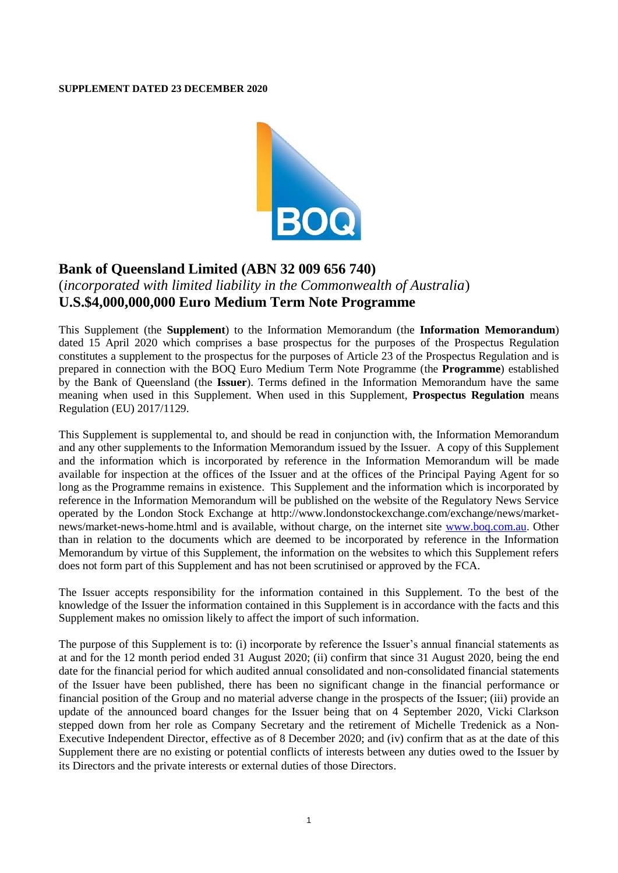#### **SUPPLEMENT DATED 23 DECEMBER 2020**



# **Bank of Queensland Limited (ABN 32 009 656 740)**

## (*incorporated with limited liability in the Commonwealth of Australia*) **U.S.\$4,000,000,000 Euro Medium Term Note Programme**

This Supplement (the **Supplement**) to the Information Memorandum (the **Information Memorandum**) dated 15 April 2020 which comprises a base prospectus for the purposes of the Prospectus Regulation constitutes a supplement to the prospectus for the purposes of Article 23 of the Prospectus Regulation and is prepared in connection with the BOQ Euro Medium Term Note Programme (the **Programme**) established by the Bank of Queensland (the **Issuer**). Terms defined in the Information Memorandum have the same meaning when used in this Supplement. When used in this Supplement, **Prospectus Regulation** means Regulation (EU) 2017/1129.

This Supplement is supplemental to, and should be read in conjunction with, the Information Memorandum and any other supplements to the Information Memorandum issued by the Issuer. A copy of this Supplement and the information which is incorporated by reference in the Information Memorandum will be made available for inspection at the offices of the Issuer and at the offices of the Principal Paying Agent for so long as the Programme remains in existence. This Supplement and the information which is incorporated by reference in the Information Memorandum will be published on the website of the Regulatory News Service operated by the London Stock Exchange at [http://www.londonstockexchange.com/exchange/news/market](http://www.londonstockexchange.com/exchange/news/market-news/market-news-home.html)[news/market-news-home.html](http://www.londonstockexchange.com/exchange/news/market-news/market-news-home.html) and is available, without charge, on the internet site [www.boq.com.au.](http://www.boq.com.au/) Other than in relation to the documents which are deemed to be incorporated by reference in the Information Memorandum by virtue of this Supplement, the information on the websites to which this Supplement refers does not form part of this Supplement and has not been scrutinised or approved by the FCA.

The Issuer accepts responsibility for the information contained in this Supplement. To the best of the knowledge of the Issuer the information contained in this Supplement is in accordance with the facts and this Supplement makes no omission likely to affect the import of such information.

The purpose of this Supplement is to: (i) incorporate by reference the Issuer's annual financial statements as at and for the 12 month period ended 31 August 2020; (ii) confirm that since 31 August 2020, being the end date for the financial period for which audited annual consolidated and non-consolidated financial statements of the Issuer have been published, there has been no significant change in the financial performance or financial position of the Group and no material adverse change in the prospects of the Issuer; (iii) provide an update of the announced board changes for the Issuer being that on 4 September 2020, Vicki Clarkson stepped down from her role as Company Secretary and the retirement of Michelle Tredenick as a Non-Executive Independent Director, effective as of 8 December 2020; and (iv) confirm that as at the date of this Supplement there are no existing or potential conflicts of interests between any duties owed to the Issuer by its Directors and the private interests or external duties of those Directors.